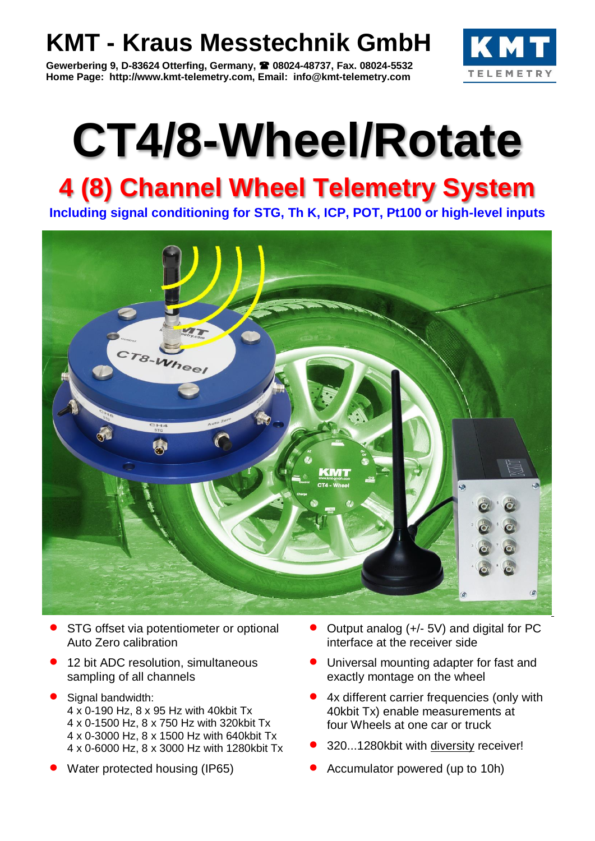# **KMT - Kraus Messtechnik GmbH**

**Gewerbering 9, D-83624 Otterfing, Germany, 08024-48737, Fax. 08024-5532 Home Page: http://www.kmt-telemetry.com, Email: info@kmt-telemetry.com**



# **CT4/8-Wheel/Rotate**

# **4 (8) Channel Wheel Telemetry System**

**Including signal conditioning for STG, Th K, ICP, POT, Pt100 or high-level inputs**



- STG offset via potentiometer or optional Auto Zero calibration
- 12 bit ADC resolution, simultaneous sampling of all channels
- Signal bandwidth: 4 x 0-190 Hz, 8 x 95 Hz with 40kbit Tx 4 x 0-1500 Hz, 8 x 750 Hz with 320kbit Tx 4 x 0-3000 Hz, 8 x 1500 Hz with 640kbit Tx 4 x 0-6000 Hz, 8 x 3000 Hz with 1280kbit Tx
- 
- Output analog (+/- 5V) and digital for PC interface at the receiver side
- Universal mounting adapter for fast and exactly montage on the wheel
- 4x different carrier frequencies (only with 40kbit Tx) enable measurements at four Wheels at one car or truck
- 320...1280kbit with diversity receiver!
- Water protected housing (IP65) **C** Accumulator powered (up to 10h)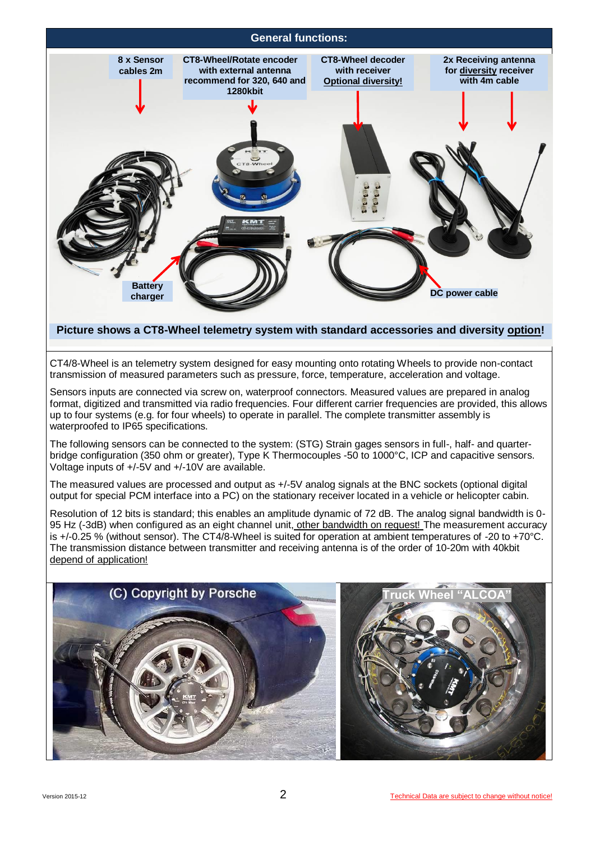

## **Picture shows a CT8-Wheel telemetry system with standard accessories and diversity option!**

CT4/8-Wheel is an telemetry system designed for easy mounting onto rotating Wheels to provide non-contact transmission of measured parameters such as pressure, force, temperature, acceleration and voltage.

Sensors inputs are connected via screw on, waterproof connectors. Measured values are prepared in analog format, digitized and transmitted via radio frequencies. Four different carrier frequencies are provided, this allows up to four systems (e.g. for four wheels) to operate in parallel. The complete transmitter assembly is waterproofed to IP65 specifications.

The following sensors can be connected to the system: (STG) Strain gages sensors in full-, half- and quarterbridge configuration (350 ohm or greater), Type K Thermocouples -50 to 1000°C, ICP and capacitive sensors. Voltage inputs of +/-5V and +/-10V are available.

The measured values are processed and output as +/-5V analog signals at the BNC sockets (optional digital output for special PCM interface into a PC) on the stationary receiver located in a vehicle or helicopter cabin.

Resolution of 12 bits is standard; this enables an amplitude dynamic of 72 dB. The analog signal bandwidth is 0- 95 Hz (-3dB) when configured as an eight channel unit, other bandwidth on request! The measurement accuracy is +/-0.25 % (without sensor). The CT4/8-Wheel is suited for operation at ambient temperatures of -20 to +70°C. The transmission distance between transmitter and receiving antenna is of the order of 10-20m with 40kbit depend of application!

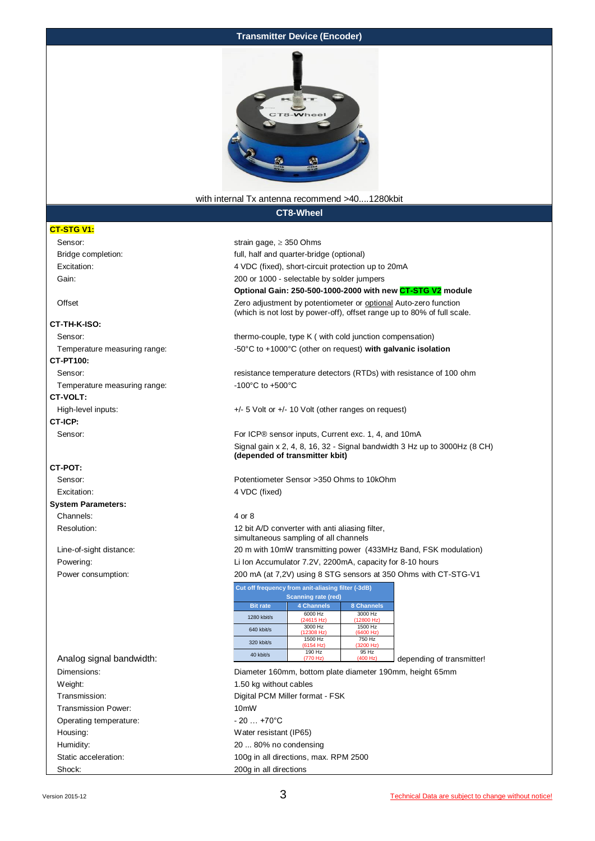#### **Transmitter Device (Encoder)**



#### with internal Tx antenna recommend >40....1280kbit

**CT8-Wheel**

#### **CT-STG V1:**

Sensor: strain gage, ≥ 350 Ohms Bridge completion: full, half and quarter-bridge (optional) Excitation: 4 VDC (fixed), short-circuit protection up to 200 MAG (fixed), short-circuit protection up to 200 MAG (fixed),  $\sim$  200 MAG (fixed), short-circuit protection up to 200 MAG (fixed), short-circuit protection up t

#### **CT-TH-K-ISO:**

#### **CT-PT100:**

Temperature measuring range:  $-100^{\circ}$ C to +500°C

#### **CT-VOLT:**

## **CT-ICP:**

#### **CT-POT:**

#### **System Parameters:** Channels: 4 or 8

| Excitation:                  | 4 VDC (fixed), short-circuit protection up to 20mA                                                                                         |  |  |  |
|------------------------------|--------------------------------------------------------------------------------------------------------------------------------------------|--|--|--|
| Gain:                        | 200 or 1000 - selectable by solder jumpers                                                                                                 |  |  |  |
|                              | Optional Gain: 250-500-1000-2000 with new CT-STG V2 module                                                                                 |  |  |  |
| Offset                       | Zero adjustment by potentiometer or optional Auto-zero function<br>(which is not lost by power-off), offset range up to 80% of full scale. |  |  |  |
| :T-TH-K-ISO                  |                                                                                                                                            |  |  |  |
| Sensor:                      | thermo-couple, type K ( with cold junction compensation)                                                                                   |  |  |  |
| Temperature measuring range: | $-50^{\circ}$ C to $+1000^{\circ}$ C (other on request) with galvanic isolation                                                            |  |  |  |

Sensor: **resistance temperature detectors (RTDs)** with resistance of 100 ohm

High-level inputs:  $+/-5$  Volt or  $+/-10$  Volt (other ranges on request)

Sensor: For ICP® sensor inputs, Current exc. 1, 4, and 10mA Signal gain x 2, 4, 8, 16, 32 - Signal bandwidth 3 Hz up to 3000Hz (8 CH) **(depended of transmitter kbit)**

Sensor: Potentiometer Sensor >350 Ohms to 10kOhm Excitation: 4 VDC (fixed)

Resolution: 12 bit A/D converter with anti aliasing filter, simultaneous sampling of all channels Line-of-sight distance: 20 m with 10mW transmitting power (433MHz Band, FSK modulation) Powering: Li Ion Accumulator 7.2V, 2200mA, capacity for 8-10 hours Power consumption: 200 mA (at 7,2V) using 8 STG sensors at 350 Ohms with CT-STG-V1

|                          | Cut off frequency from anit-aliasing filter (-3dB) |                            |                       |                           |
|--------------------------|----------------------------------------------------|----------------------------|-----------------------|---------------------------|
|                          |                                                    | <b>Scanning rate (red)</b> |                       |                           |
|                          | <b>Bit rate</b>                                    | 4 Channels                 | 8 Channels            |                           |
|                          | 1280 kbit/s                                        | 6000 Hz<br>(24615 Hz)      | 3000 Hz<br>(12800 Hz) |                           |
|                          | 640 kbit/s                                         | 3000 Hz<br>(12308 Hz)      | 1500 Hz<br>(6400 Hz)  |                           |
|                          | 320 kbit/s                                         | 1500 Hz<br>(6154 Hz)       | 750 Hz<br>(3200 Hz)   |                           |
| Analog signal bandwidth: | 40 kbit/s                                          | 190 Hz<br>(770 Hz)         | 95 Hz<br>(400 Hz)     | depending of transmitter! |

Dimensions: Diameter 160mm, bottom plate diameter 190mm, height 65mm Weight: Weight: 1.50 kg without cables Transmission: Digital PCM Miller format - FSK Transmission Power: 10mW Operating temperature:  $-20...+70^{\circ}$ C Housing: Water resistant (IP65) Humidity: 20 ... 80% no condensing Static acceleration: 100g in all directions, max. RPM 2500 Shock: 200g in all directions